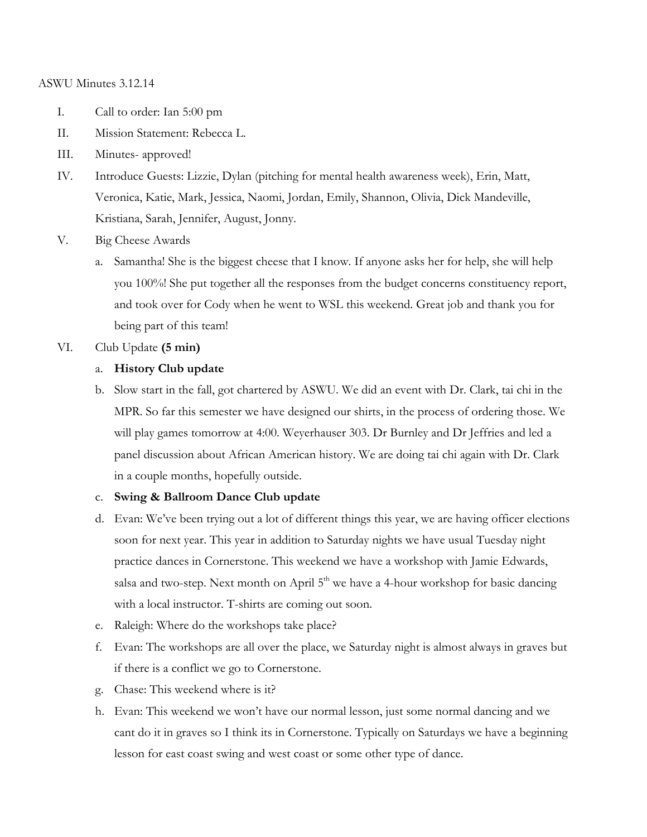### ASWU Minutes 3.12.14

- I. Call to order: Ian 5:00 pm
- II. Mission Statement: Rebecca L.
- III. Minutes- approved!
- IV. Introduce Guests: Lizzie, Dylan (pitching for mental health awareness week), Erin, Matt, Veronica, Katie, Mark, Jessica, Naomi, Jordan, Emily, Shannon, Olivia, Dick Mandeville, Kristiana, Sarah, Jennifer, August, Jonny.
- V. Big Cheese Awards
	- a. Samantha! She is the biggest cheese that I know. If anyone asks her for help, she will help you 100%! She put together all the responses from the budget concerns constituency report, and took over for Cody when he went to WSL this weekend. Great job and thank you for being part of this team!
- VI. Club Update **(5 min)**

# a. **History Club update**

b. Slow start in the fall, got chartered by ASWU. We did an event with Dr. Clark, tai chi in the MPR. So far this semester we have designed our shirts, in the process of ordering those. We will play games tomorrow at 4:00. Weyerhauser 303. Dr Burnley and Dr Jeffries and led a panel discussion about African American history. We are doing tai chi again with Dr. Clark in a couple months, hopefully outside.

#### c. **Swing & Ballroom Dance Club update**

- d. Evan: We've been trying out a lot of different things this year, we are having officer elections soon for next year. This year in addition to Saturday nights we have usual Tuesday night practice dances in Cornerstone. This weekend we have a workshop with Jamie Edwards, salsa and two-step. Next month on April  $5<sup>th</sup>$  we have a 4-hour workshop for basic dancing with a local instructor. T-shirts are coming out soon.
- e. Raleigh: Where do the workshops take place?
- f. Evan: The workshops are all over the place, we Saturday night is almost always in graves but if there is a conflict we go to Cornerstone.
- g. Chase: This weekend where is it?
- h. Evan: This weekend we won't have our normal lesson, just some normal dancing and we cant do it in graves so I think its in Cornerstone. Typically on Saturdays we have a beginning lesson for east coast swing and west coast or some other type of dance.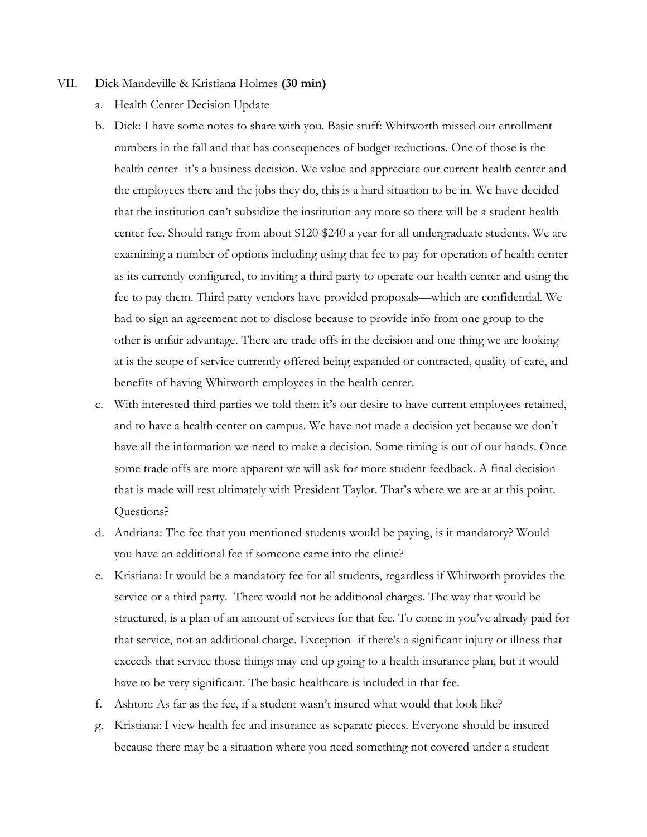### VII. Dick Mandeville & Kristiana Holmes **(30 min)**

- a. Health Center Decision Update
- b. Dick: I have some notes to share with you. Basic stuff: Whitworth missed our enrollment numbers in the fall and that has consequences of budget reductions. One of those is the health center- it's a business decision. We value and appreciate our current health center and the employees there and the jobs they do, this is a hard situation to be in. We have decided that the institution can't subsidize the institution any more so there will be a student health center fee. Should range from about \$120-\$240 a year for all undergraduate students. We are examining a number of options including using that fee to pay for operation of health center as its currently configured, to inviting a third party to operate our health center and using the fee to pay them. Third party vendors have provided proposals—which are confidential. We had to sign an agreement not to disclose because to provide info from one group to the other is unfair advantage. There are trade offs in the decision and one thing we are looking at is the scope of service currently offered being expanded or contracted, quality of care, and benefits of having Whitworth employees in the health center.
- c. With interested third parties we told them it's our desire to have current employees retained, and to have a health center on campus. We have not made a decision yet because we don't have all the information we need to make a decision. Some timing is out of our hands. Once some trade offs are more apparent we will ask for more student feedback. A final decision that is made will rest ultimately with President Taylor. That's where we are at at this point. Questions?
- d. Andriana: The fee that you mentioned students would be paying, is it mandatory? Would you have an additional fee if someone came into the clinic?
- e. Kristiana: It would be a mandatory fee for all students, regardless if Whitworth provides the service or a third party. There would not be additional charges. The way that would be structured, is a plan of an amount of services for that fee. To come in you've already paid for that service, not an additional charge. Exception- if there's a significant injury or illness that exceeds that service those things may end up going to a health insurance plan, but it would have to be very significant. The basic healthcare is included in that fee.
- f. Ashton: As far as the fee, if a student wasn't insured what would that look like?
- g. Kristiana: I view health fee and insurance as separate pieces. Everyone should be insured because there may be a situation where you need something not covered under a student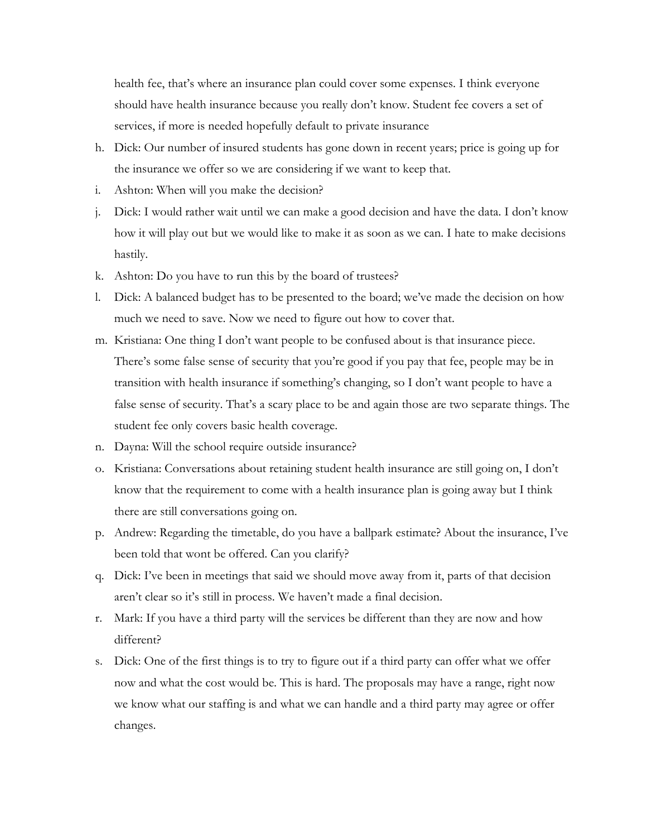health fee, that's where an insurance plan could cover some expenses. I think everyone should have health insurance because you really don't know. Student fee covers a set of services, if more is needed hopefully default to private insurance

- h. Dick: Our number of insured students has gone down in recent years; price is going up for the insurance we offer so we are considering if we want to keep that.
- i. Ashton: When will you make the decision?
- j. Dick: I would rather wait until we can make a good decision and have the data. I don't know how it will play out but we would like to make it as soon as we can. I hate to make decisions hastily.
- k. Ashton: Do you have to run this by the board of trustees?
- l. Dick: A balanced budget has to be presented to the board; we've made the decision on how much we need to save. Now we need to figure out how to cover that.
- m. Kristiana: One thing I don't want people to be confused about is that insurance piece. There's some false sense of security that you're good if you pay that fee, people may be in transition with health insurance if something's changing, so I don't want people to have a false sense of security. That's a scary place to be and again those are two separate things. The student fee only covers basic health coverage.
- n. Dayna: Will the school require outside insurance?
- o. Kristiana: Conversations about retaining student health insurance are still going on, I don't know that the requirement to come with a health insurance plan is going away but I think there are still conversations going on.
- p. Andrew: Regarding the timetable, do you have a ballpark estimate? About the insurance, I've been told that wont be offered. Can you clarify?
- q. Dick: I've been in meetings that said we should move away from it, parts of that decision aren't clear so it's still in process. We haven't made a final decision.
- r. Mark: If you have a third party will the services be different than they are now and how different?
- s. Dick: One of the first things is to try to figure out if a third party can offer what we offer now and what the cost would be. This is hard. The proposals may have a range, right now we know what our staffing is and what we can handle and a third party may agree or offer changes.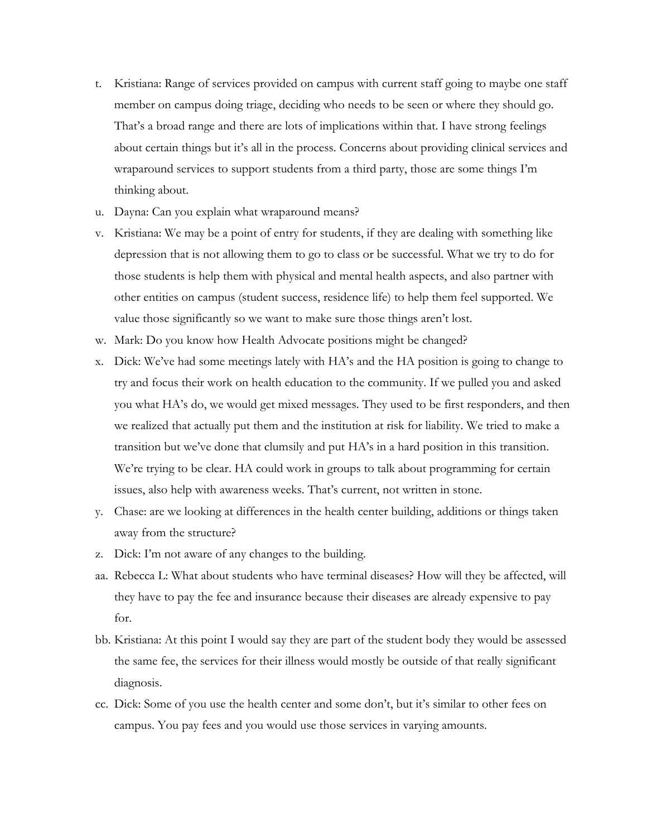- t. Kristiana: Range of services provided on campus with current staff going to maybe one staff member on campus doing triage, deciding who needs to be seen or where they should go. That's a broad range and there are lots of implications within that. I have strong feelings about certain things but it's all in the process. Concerns about providing clinical services and wraparound services to support students from a third party, those are some things I'm thinking about.
- u. Dayna: Can you explain what wraparound means?
- v. Kristiana: We may be a point of entry for students, if they are dealing with something like depression that is not allowing them to go to class or be successful. What we try to do for those students is help them with physical and mental health aspects, and also partner with other entities on campus (student success, residence life) to help them feel supported. We value those significantly so we want to make sure those things aren't lost.
- w. Mark: Do you know how Health Advocate positions might be changed?
- x. Dick: We've had some meetings lately with HA's and the HA position is going to change to try and focus their work on health education to the community. If we pulled you and asked you what HA's do, we would get mixed messages. They used to be first responders, and then we realized that actually put them and the institution at risk for liability. We tried to make a transition but we've done that clumsily and put HA's in a hard position in this transition. We're trying to be clear. HA could work in groups to talk about programming for certain issues, also help with awareness weeks. That's current, not written in stone.
- y. Chase: are we looking at differences in the health center building, additions or things taken away from the structure?
- z. Dick: I'm not aware of any changes to the building.
- aa. Rebecca L: What about students who have terminal diseases? How will they be affected, will they have to pay the fee and insurance because their diseases are already expensive to pay for.
- bb. Kristiana: At this point I would say they are part of the student body they would be assessed the same fee, the services for their illness would mostly be outside of that really significant diagnosis.
- cc. Dick: Some of you use the health center and some don't, but it's similar to other fees on campus. You pay fees and you would use those services in varying amounts.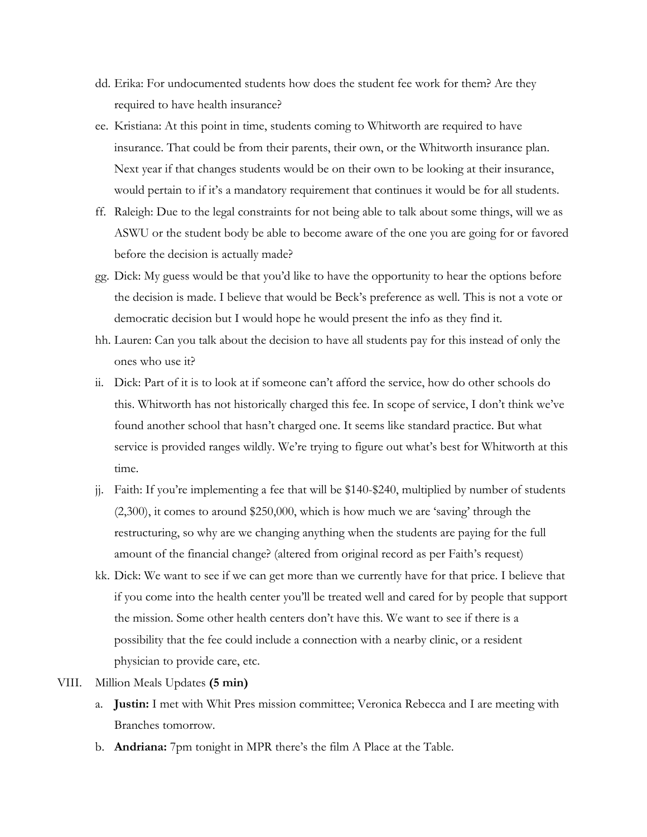- dd. Erika: For undocumented students how does the student fee work for them? Are they required to have health insurance?
- ee. Kristiana: At this point in time, students coming to Whitworth are required to have insurance. That could be from their parents, their own, or the Whitworth insurance plan. Next year if that changes students would be on their own to be looking at their insurance, would pertain to if it's a mandatory requirement that continues it would be for all students.
- ff. Raleigh: Due to the legal constraints for not being able to talk about some things, will we as ASWU or the student body be able to become aware of the one you are going for or favored before the decision is actually made?
- gg. Dick: My guess would be that you'd like to have the opportunity to hear the options before the decision is made. I believe that would be Beck's preference as well. This is not a vote or democratic decision but I would hope he would present the info as they find it.
- hh. Lauren: Can you talk about the decision to have all students pay for this instead of only the ones who use it?
- ii. Dick: Part of it is to look at if someone can't afford the service, how do other schools do this. Whitworth has not historically charged this fee. In scope of service, I don't think we've found another school that hasn't charged one. It seems like standard practice. But what service is provided ranges wildly. We're trying to figure out what's best for Whitworth at this time.
- jj. Faith: If you're implementing a fee that will be \$140-\$240, multiplied by number of students (2,300), it comes to around \$250,000, which is how much we are 'saving' through the restructuring, so why are we changing anything when the students are paying for the full amount of the financial change? (altered from original record as per Faith's request)
- kk. Dick: We want to see if we can get more than we currently have for that price. I believe that if you come into the health center you'll be treated well and cared for by people that support the mission. Some other health centers don't have this. We want to see if there is a possibility that the fee could include a connection with a nearby clinic, or a resident physician to provide care, etc.
- VIII. Million Meals Updates **(5 min)**
	- a. **Justin:** I met with Whit Pres mission committee; Veronica Rebecca and I are meeting with Branches tomorrow.
	- b. **Andriana:** 7pm tonight in MPR there's the film A Place at the Table.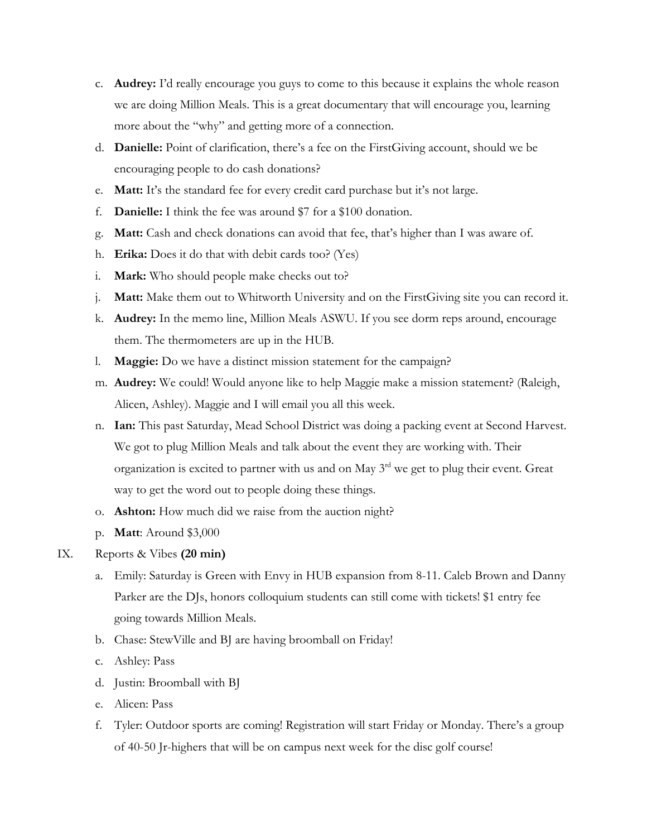- c. **Audrey:** I'd really encourage you guys to come to this because it explains the whole reason we are doing Million Meals. This is a great documentary that will encourage you, learning more about the "why" and getting more of a connection.
- d. **Danielle:** Point of clarification, there's a fee on the FirstGiving account, should we be encouraging people to do cash donations?
- e. **Matt:** It's the standard fee for every credit card purchase but it's not large.
- f. **Danielle:** I think the fee was around \$7 for a \$100 donation.
- g. **Matt:** Cash and check donations can avoid that fee, that's higher than I was aware of.
- h. **Erika:** Does it do that with debit cards too? (Yes)
- i. **Mark:** Who should people make checks out to?
- j. **Matt:** Make them out to Whitworth University and on the FirstGiving site you can record it.
- k. **Audrey:** In the memo line, Million Meals ASWU. If you see dorm reps around, encourage them. The thermometers are up in the HUB.
- l. **Maggie:** Do we have a distinct mission statement for the campaign?
- m. **Audrey:** We could! Would anyone like to help Maggie make a mission statement? (Raleigh, Alicen, Ashley). Maggie and I will email you all this week.
- n. **Ian:** This past Saturday, Mead School District was doing a packing event at Second Harvest. We got to plug Million Meals and talk about the event they are working with. Their organization is excited to partner with us and on May  $3<sup>rd</sup>$  we get to plug their event. Great way to get the word out to people doing these things.
- o. **Ashton:** How much did we raise from the auction night?
- p. **Matt**: Around \$3,000

# IX. Reports & Vibes **(20 min)**

- a. Emily: Saturday is Green with Envy in HUB expansion from 8-11. Caleb Brown and Danny Parker are the DJs, honors colloquium students can still come with tickets! \$1 entry fee going towards Million Meals.
- b. Chase: StewVille and BJ are having broomball on Friday!
- c. Ashley: Pass
- d. Justin: Broomball with BJ
- e. Alicen: Pass
- f. Tyler: Outdoor sports are coming! Registration will start Friday or Monday. There's a group of 40-50 Jr-highers that will be on campus next week for the disc golf course!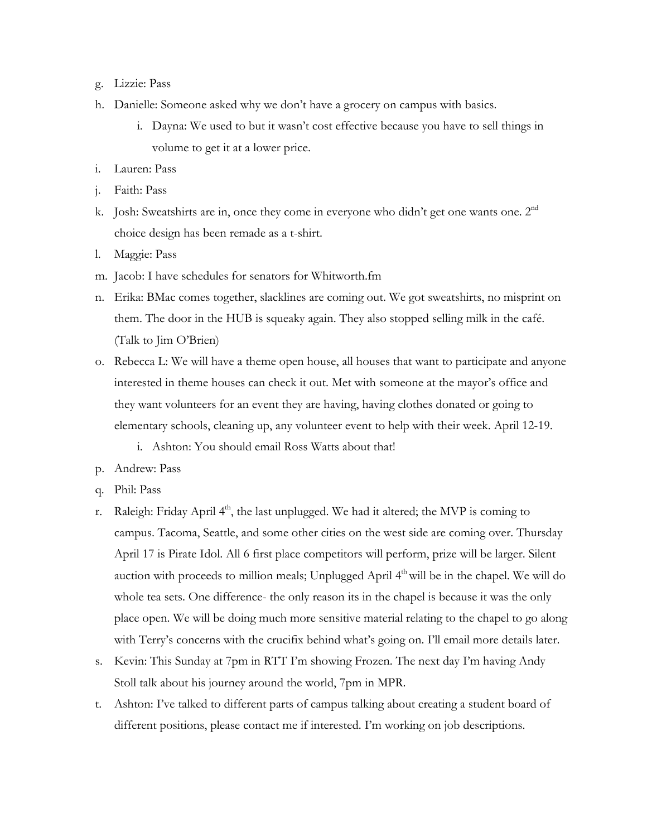- g. Lizzie: Pass
- h. Danielle: Someone asked why we don't have a grocery on campus with basics.
	- i. Dayna: We used to but it wasn't cost effective because you have to sell things in volume to get it at a lower price.
- i. Lauren: Pass
- j. Faith: Pass
- k. Josh: Sweatshirts are in, once they come in everyone who didn't get one wants one.  $2<sup>nd</sup>$ choice design has been remade as a t-shirt.
- l. Maggie: Pass
- m. Jacob: I have schedules for senators for Whitworth.fm
- n. Erika: BMac comes together, slacklines are coming out. We got sweatshirts, no misprint on them. The door in the HUB is squeaky again. They also stopped selling milk in the café. (Talk to Jim O'Brien)
- o. Rebecca L: We will have a theme open house, all houses that want to participate and anyone interested in theme houses can check it out. Met with someone at the mayor's office and they want volunteers for an event they are having, having clothes donated or going to elementary schools, cleaning up, any volunteer event to help with their week. April 12-19.
	- i. Ashton: You should email Ross Watts about that!
- p. Andrew: Pass
- q. Phil: Pass
- r. Raleigh: Friday April  $4<sup>th</sup>$ , the last unplugged. We had it altered; the MVP is coming to campus. Tacoma, Seattle, and some other cities on the west side are coming over. Thursday April 17 is Pirate Idol. All 6 first place competitors will perform, prize will be larger. Silent auction with proceeds to million meals; Unplugged April 4<sup>th</sup> will be in the chapel. We will do whole tea sets. One difference- the only reason its in the chapel is because it was the only place open. We will be doing much more sensitive material relating to the chapel to go along with Terry's concerns with the crucifix behind what's going on. I'll email more details later.
- s. Kevin: This Sunday at 7pm in RTT I'm showing Frozen. The next day I'm having Andy Stoll talk about his journey around the world, 7pm in MPR.
- t. Ashton: I've talked to different parts of campus talking about creating a student board of different positions, please contact me if interested. I'm working on job descriptions.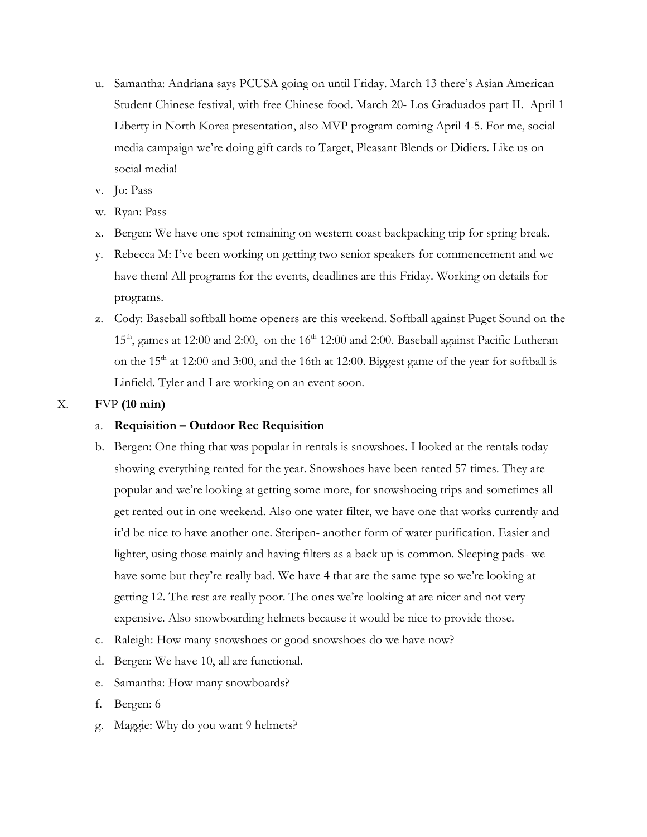- u. Samantha: Andriana says PCUSA going on until Friday. March 13 there's Asian American Student Chinese festival, with free Chinese food. March 20- Los Graduados part II. April 1 Liberty in North Korea presentation, also MVP program coming April 4-5. For me, social media campaign we're doing gift cards to Target, Pleasant Blends or Didiers. Like us on social media!
- v. Jo: Pass
- w. Ryan: Pass
- x. Bergen: We have one spot remaining on western coast backpacking trip for spring break.
- y. Rebecca M: I've been working on getting two senior speakers for commencement and we have them! All programs for the events, deadlines are this Friday. Working on details for programs.
- z. Cody: Baseball softball home openers are this weekend. Softball against Puget Sound on the  $15<sup>th</sup>$ , games at 12:00 and 2:00, on the  $16<sup>th</sup>$  12:00 and 2:00. Baseball against Pacific Lutheran on the 15<sup>th</sup> at 12:00 and 3:00, and the 16th at 12:00. Biggest game of the year for softball is Linfield. Tyler and I are working on an event soon.

## X. FVP **(10 min)**

## a. **Requisition – Outdoor Rec Requisition**

- b. Bergen: One thing that was popular in rentals is snowshoes. I looked at the rentals today showing everything rented for the year. Snowshoes have been rented 57 times. They are popular and we're looking at getting some more, for snowshoeing trips and sometimes all get rented out in one weekend. Also one water filter, we have one that works currently and it'd be nice to have another one. Steripen- another form of water purification. Easier and lighter, using those mainly and having filters as a back up is common. Sleeping pads- we have some but they're really bad. We have 4 that are the same type so we're looking at getting 12. The rest are really poor. The ones we're looking at are nicer and not very expensive. Also snowboarding helmets because it would be nice to provide those.
- c. Raleigh: How many snowshoes or good snowshoes do we have now?
- d. Bergen: We have 10, all are functional.
- e. Samantha: How many snowboards?
- f. Bergen: 6
- g. Maggie: Why do you want 9 helmets?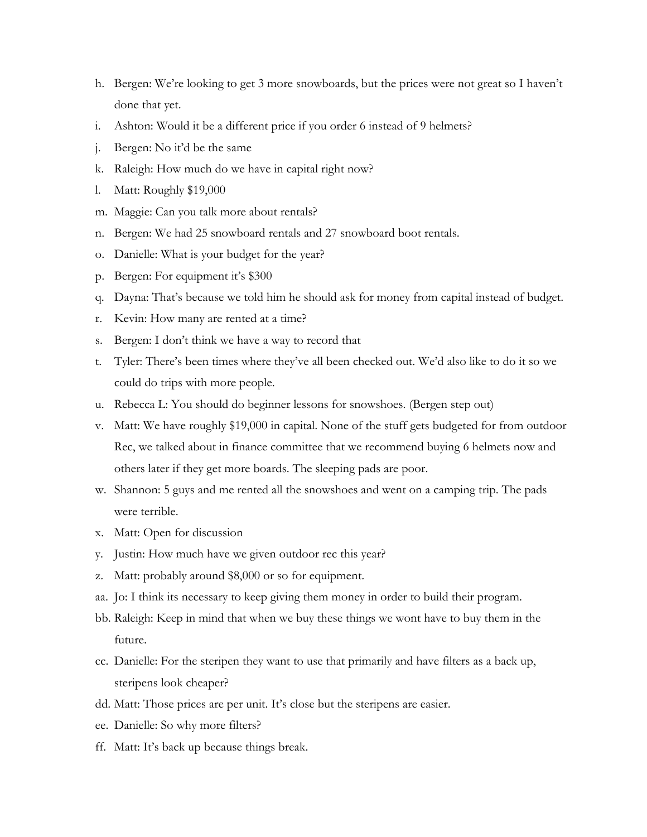- h. Bergen: We're looking to get 3 more snowboards, but the prices were not great so I haven't done that yet.
- i. Ashton: Would it be a different price if you order 6 instead of 9 helmets?
- j. Bergen: No it'd be the same
- k. Raleigh: How much do we have in capital right now?
- l. Matt: Roughly \$19,000
- m. Maggie: Can you talk more about rentals?
- n. Bergen: We had 25 snowboard rentals and 27 snowboard boot rentals.
- o. Danielle: What is your budget for the year?
- p. Bergen: For equipment it's \$300
- q. Dayna: That's because we told him he should ask for money from capital instead of budget.
- r. Kevin: How many are rented at a time?
- s. Bergen: I don't think we have a way to record that
- t. Tyler: There's been times where they've all been checked out. We'd also like to do it so we could do trips with more people.
- u. Rebecca L: You should do beginner lessons for snowshoes. (Bergen step out)
- v. Matt: We have roughly \$19,000 in capital. None of the stuff gets budgeted for from outdoor Rec, we talked about in finance committee that we recommend buying 6 helmets now and others later if they get more boards. The sleeping pads are poor.
- w. Shannon: 5 guys and me rented all the snowshoes and went on a camping trip. The pads were terrible.
- x. Matt: Open for discussion
- y. Justin: How much have we given outdoor rec this year?
- z. Matt: probably around \$8,000 or so for equipment.
- aa. Jo: I think its necessary to keep giving them money in order to build their program.
- bb. Raleigh: Keep in mind that when we buy these things we wont have to buy them in the future.
- cc. Danielle: For the steripen they want to use that primarily and have filters as a back up, steripens look cheaper?
- dd. Matt: Those prices are per unit. It's close but the steripens are easier.
- ee. Danielle: So why more filters?
- ff. Matt: It's back up because things break.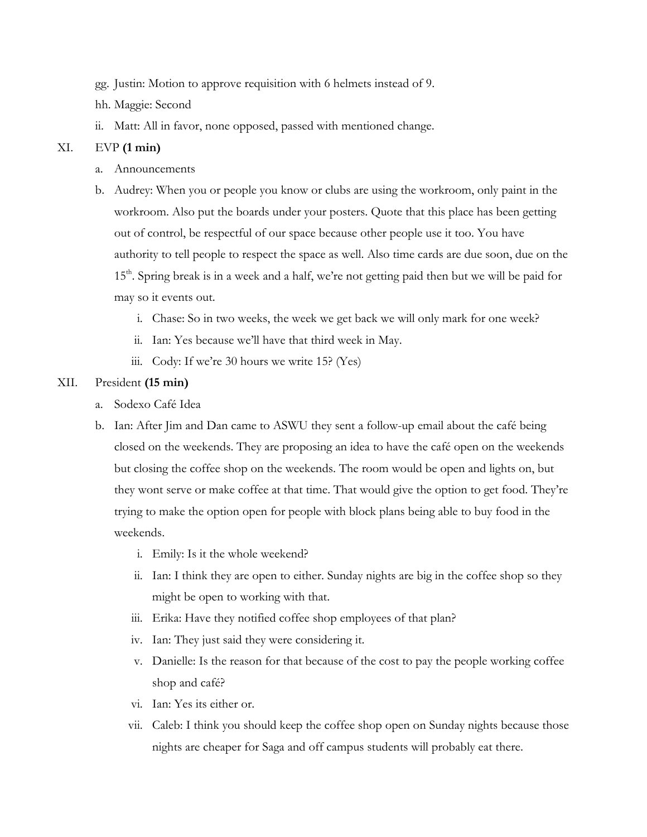- gg. Justin: Motion to approve requisition with 6 helmets instead of 9.
- hh. Maggie: Second
- ii. Matt: All in favor, none opposed, passed with mentioned change.

# XI. EVP **(1 min)**

- a. Announcements
- b. Audrey: When you or people you know or clubs are using the workroom, only paint in the workroom. Also put the boards under your posters. Quote that this place has been getting out of control, be respectful of our space because other people use it too. You have authority to tell people to respect the space as well. Also time cards are due soon, due on the 15<sup>th</sup>. Spring break is in a week and a half, we're not getting paid then but we will be paid for may so it events out.
	- i. Chase: So in two weeks, the week we get back we will only mark for one week?
	- ii. Ian: Yes because we'll have that third week in May.
	- iii. Cody: If we're 30 hours we write 15? (Yes)

# XII. President **(15 min)**

- a. Sodexo Café Idea
- b. Ian: After Jim and Dan came to ASWU they sent a follow-up email about the café being closed on the weekends. They are proposing an idea to have the café open on the weekends but closing the coffee shop on the weekends. The room would be open and lights on, but they wont serve or make coffee at that time. That would give the option to get food. They're trying to make the option open for people with block plans being able to buy food in the weekends.
	- i. Emily: Is it the whole weekend?
	- ii. Ian: I think they are open to either. Sunday nights are big in the coffee shop so they might be open to working with that.
	- iii. Erika: Have they notified coffee shop employees of that plan?
	- iv. Ian: They just said they were considering it.
	- v. Danielle: Is the reason for that because of the cost to pay the people working coffee shop and café?
	- vi. Ian: Yes its either or.
	- vii. Caleb: I think you should keep the coffee shop open on Sunday nights because those nights are cheaper for Saga and off campus students will probably eat there.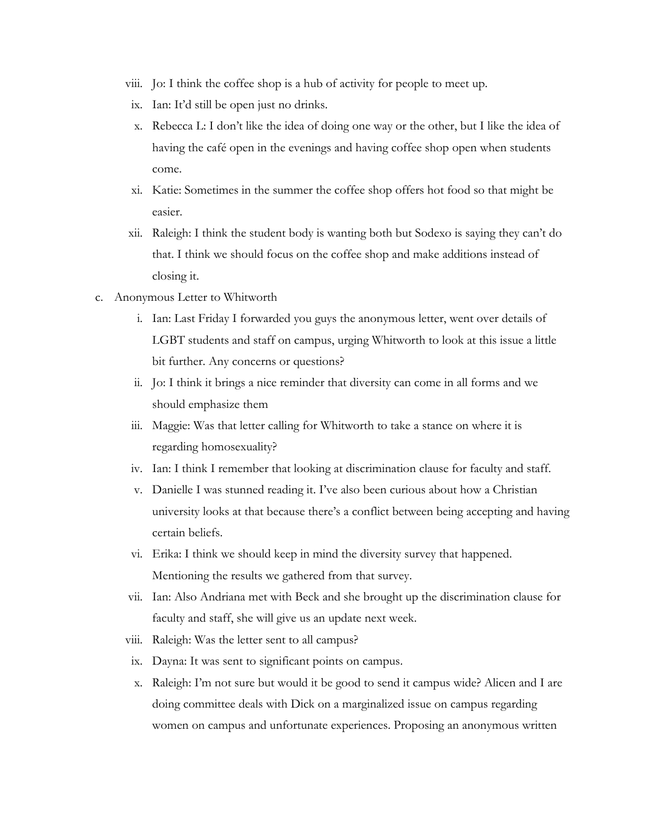- viii. Jo: I think the coffee shop is a hub of activity for people to meet up.
- ix. Ian: It'd still be open just no drinks.
- x. Rebecca L: I don't like the idea of doing one way or the other, but I like the idea of having the café open in the evenings and having coffee shop open when students come.
- xi. Katie: Sometimes in the summer the coffee shop offers hot food so that might be easier.
- xii. Raleigh: I think the student body is wanting both but Sodexo is saying they can't do that. I think we should focus on the coffee shop and make additions instead of closing it.
- c. Anonymous Letter to Whitworth
	- i. Ian: Last Friday I forwarded you guys the anonymous letter, went over details of LGBT students and staff on campus, urging Whitworth to look at this issue a little bit further. Any concerns or questions?
	- ii. Jo: I think it brings a nice reminder that diversity can come in all forms and we should emphasize them
	- iii. Maggie: Was that letter calling for Whitworth to take a stance on where it is regarding homosexuality?
	- iv. Ian: I think I remember that looking at discrimination clause for faculty and staff.
	- v. Danielle I was stunned reading it. I've also been curious about how a Christian university looks at that because there's a conflict between being accepting and having certain beliefs.
	- vi. Erika: I think we should keep in mind the diversity survey that happened. Mentioning the results we gathered from that survey.
	- vii. Ian: Also Andriana met with Beck and she brought up the discrimination clause for faculty and staff, she will give us an update next week.
	- viii. Raleigh: Was the letter sent to all campus?
	- ix. Dayna: It was sent to significant points on campus.
	- x. Raleigh: I'm not sure but would it be good to send it campus wide? Alicen and I are doing committee deals with Dick on a marginalized issue on campus regarding women on campus and unfortunate experiences. Proposing an anonymous written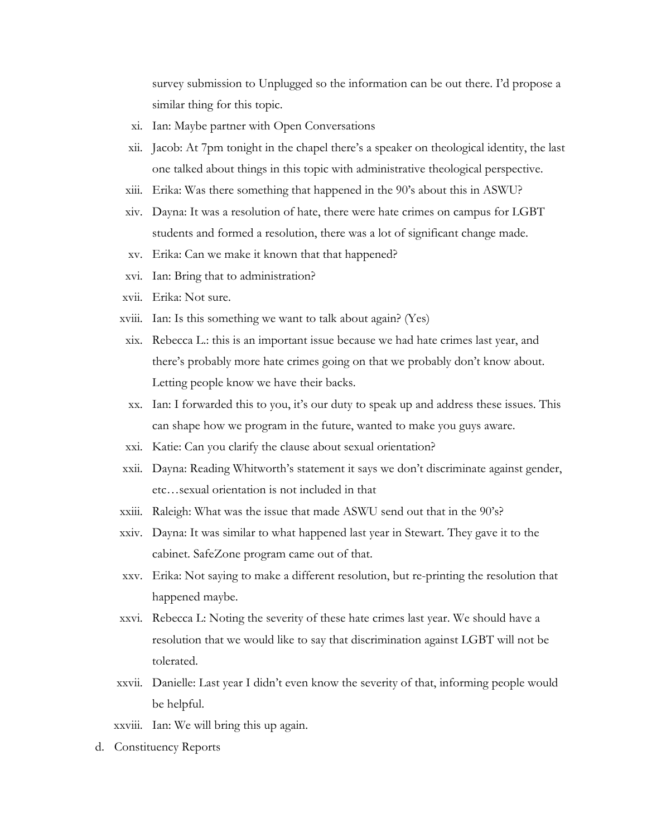survey submission to Unplugged so the information can be out there. I'd propose a similar thing for this topic.

- xi. Ian: Maybe partner with Open Conversations
- xii. Jacob: At 7pm tonight in the chapel there's a speaker on theological identity, the last one talked about things in this topic with administrative theological perspective.
- xiii. Erika: Was there something that happened in the 90's about this in ASWU?
- xiv. Dayna: It was a resolution of hate, there were hate crimes on campus for LGBT students and formed a resolution, there was a lot of significant change made.
- xv. Erika: Can we make it known that that happened?
- xvi. Ian: Bring that to administration?
- xvii. Erika: Not sure.
- xviii. Ian: Is this something we want to talk about again? (Yes)
- xix. Rebecca L.: this is an important issue because we had hate crimes last year, and there's probably more hate crimes going on that we probably don't know about. Letting people know we have their backs.
- xx. Ian: I forwarded this to you, it's our duty to speak up and address these issues. This can shape how we program in the future, wanted to make you guys aware.
- xxi. Katie: Can you clarify the clause about sexual orientation?
- xxii. Dayna: Reading Whitworth's statement it says we don't discriminate against gender, etc…sexual orientation is not included in that
- xxiii. Raleigh: What was the issue that made ASWU send out that in the 90's?
- xxiv. Dayna: It was similar to what happened last year in Stewart. They gave it to the cabinet. SafeZone program came out of that.
- xxv. Erika: Not saying to make a different resolution, but re-printing the resolution that happened maybe.
- xxvi. Rebecca L: Noting the severity of these hate crimes last year. We should have a resolution that we would like to say that discrimination against LGBT will not be tolerated.
- xxvii. Danielle: Last year I didn't even know the severity of that, informing people would be helpful.
- xxviii. Ian: We will bring this up again.
- d. Constituency Reports